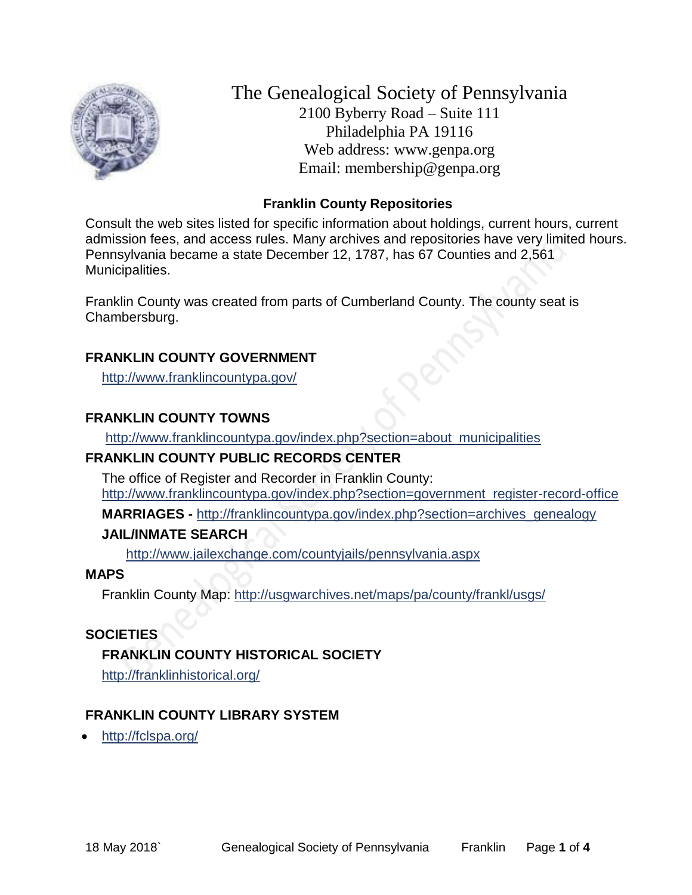

The Genealogical Society of Pennsylvania 2100 Byberry Road – Suite 111 Philadelphia PA 19116 Web address: www.genpa.org Email: membership@genpa.org

## **Franklin County Repositories**

Consult the web sites listed for specific information about holdings, current hours, current admission fees, and access rules. Many archives and repositories have very limited hours. Pennsylvania became a state December 12, 1787, has 67 Counties and 2,561 Municipalities.

Franklin County was created from parts of Cumberland County. The county seat is Chambersburg.

#### **FRANKLIN COUNTY GOVERNMENT**

<http://www.franklincountypa.gov/>

## **FRANKLIN COUNTY TOWNS**

[http://www.franklincountypa.gov/index.php?section=about\\_municipalities](http://www.franklincountypa.gov/index.php?section=about_municipalities)

#### **FRANKLIN COUNTY PUBLIC RECORDS CENTER**

The office of Register and Recorder in Franklin County: [http://www.franklincountypa.gov/index.php?section=government\\_register-record-office](http://www.franklincountypa.gov/index.php?section=government_register-record-office)

**MARRIAGES** - [http://franklincountypa.gov/index.php?section=archives\\_genealogy](http://franklincountypa.gov/index.php?section=archives_genealogy)

## **JAIL/INMATE SEARCH**

<http://www.jailexchange.com/countyjails/pennsylvania.aspx>

#### **MAPS**

Franklin County Map:<http://usgwarchives.net/maps/pa/county/frankl/usgs/>

## **SOCIETIES**

## **FRANKLIN COUNTY HISTORICAL SOCIETY**

<http://franklinhistorical.org/>

## **FRANKLIN COUNTY LIBRARY SYSTEM**

• <http://fclspa.org/>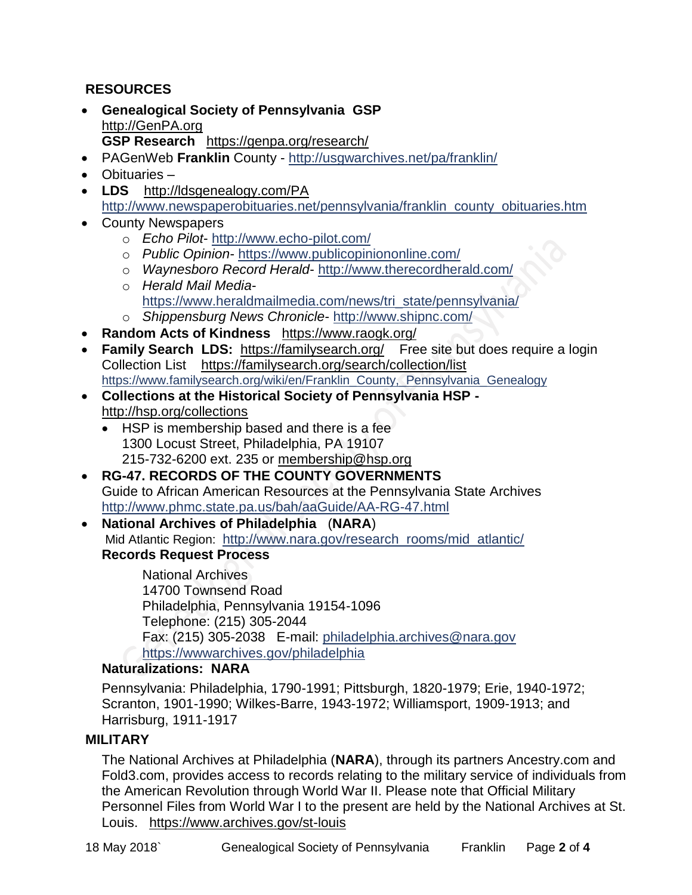# **RESOURCES**

- **Genealogical Society of Pennsylvania GSP** [http://GenPA.org](http://genpa.org/) **GSP Research** <https://genpa.org/research/>
- PAGenWeb **Franklin** County <http://usgwarchives.net/pa/franklin/>
- Obituaries –
- LDS <http://ldsgenealogy.com/PA> [http://www.newspaperobituaries.net/pennsylvania/franklin\\_county\\_obituaries.htm](http://www.newspaperobituaries.net/pennsylvania/franklin_county_obituaries.htm)
- County Newspapers
	- o *Echo Pilot* <http://www.echo-pilot.com/>
	- o *Public Opinion* <https://www.publicopiniononline.com/>
	- o *Waynesboro Record Herald* <http://www.therecordherald.com/>
	- o *Herald Mail Media*
		- [https://www.heraldmailmedia.com/news/tri\\_state/pennsylvania/](https://www.heraldmailmedia.com/news/tri_state/pennsylvania/)
	- o *Shippensburg News Chronicle* <http://www.shipnc.com/>
- **Random Acts of Kindness** <https://www.raogk.org/>
- **Family Search LDS:** <https://familysearch.org/>Free site but does require a login Collection List <https://familysearch.org/search/collection/list> [https://www.familysearch.org/wiki/en/Franklin\\_County,\\_Pennsylvania\\_Genealogy](https://www.familysearch.org/wiki/en/Franklin_County,_Pennsylvania_Genealogy)
- **Collections at the Historical Society of Pennsylvania HSP**  <http://hsp.org/collections>
	- HSP is membership based and there is a fee 1300 Locust Street, Philadelphia, PA 19107 215-732-6200 ext. 235 or [membership@hsp.org](mailto:membership@hsp.org)
- **RG-47. RECORDS OF THE COUNTY GOVERNMENTS** Guide to African American Resources at the Pennsylvania State Archives <http://www.phmc.state.pa.us/bah/aaGuide/AA-RG-47.html>
- **National Archives of Philadelphia** (**NARA**) Mid Atlantic Region: [http://www.nara.gov/research\\_rooms/mid\\_atlantic/](http://www.nara.gov/research_rooms/mid_atlantic/) **Records Request Process**

National Archives 14700 Townsend Road Philadelphia, Pennsylvania 19154-1096 Telephone: (215) 305-2044 Fax: (215) 305-2038 E-mail: [philadelphia.archives@nara.gov](mailto:philadelphia.archives@nara.gov) <https://wwwarchives.gov/philadelphia>

## **Naturalizations: NARA**

Pennsylvania: Philadelphia, 1790-1991; Pittsburgh, 1820-1979; Erie, 1940-1972; Scranton, 1901-1990; Wilkes-Barre, 1943-1972; Williamsport, 1909-1913; and Harrisburg, 1911-1917

## **MILITARY**

The National Archives at Philadelphia (**NARA**), through its partners Ancestry.com and Fold3.com, provides access to records relating to the military service of individuals from the American Revolution through World War II. Please note that Official Military Personnel Files from World War I to the present are held by the National Archives at St. Louis. <https://www.archives.gov/st-louis>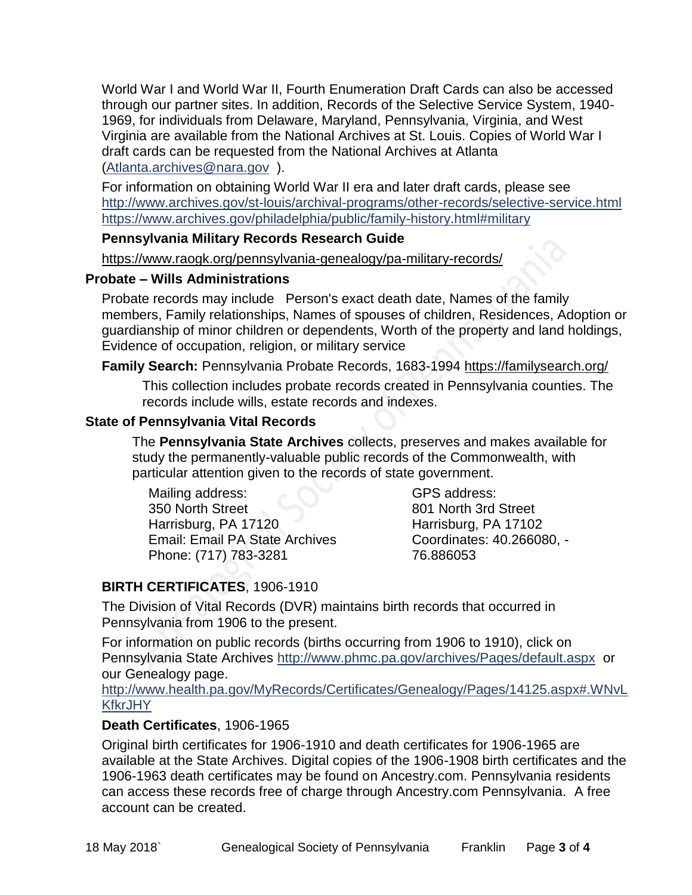World War I and World War II, Fourth Enumeration Draft Cards can also be accessed through our partner sites. In addition, Records of the Selective Service System, 1940- 1969, for individuals from Delaware, Maryland, Pennsylvania, Virginia, and West Virginia are available from the National Archives at St. Louis. Copies of World War I draft cards can be requested from the National Archives at Atlanta [\(Atlanta.archives@nara.gov](mailto:Atlanta.archives@nara.gov) ).

For information on obtaining World War II era and later draft cards, please see <http://www.archives.gov/st-louis/archival-programs/other-records/selective-service.html> <https://www.archives.gov/philadelphia/public/family-history.html#military>

#### **Pennsylvania Military Records Research Guide**

<https://www.raogk.org/pennsylvania-genealogy/pa-military-records/>

#### **Probate – Wills Administrations**

Probate records may include Person's exact death date, Names of the family members, Family relationships, Names of spouses of children, Residences, Adoption or guardianship of minor children or dependents, Worth of the property and land holdings, Evidence of occupation, religion, or military service

## **Family Search:** Pennsylvania Probate Records, 1683-1994 <https://familysearch.org/>

This collection includes probate records created in Pennsylvania counties. The records include wills, estate records and indexes.

## **State of Pennsylvania Vital Records**

The **Pennsylvania State Archives** collects, preserves and makes available for study the permanently-valuable public records of the Commonwealth, with particular attention given to the records of state government.

Mailing address: 350 North Street Harrisburg, PA 17120 Email: Email PA State Archives Phone: (717) 783-3281

GPS address: 801 North 3rd Street Harrisburg, PA 17102 Coordinates: 40.266080, - 76.886053

# **BIRTH CERTIFICATES**, 1906-1910

The Division of Vital Records (DVR) maintains birth records that occurred in Pennsylvania from 1906 to the present.

For information on public records (births occurring from 1906 to 1910), click on Pennsylvania State Archives <http://www.phmc.pa.gov/archives/Pages/default.aspx>or our Genealogy page.

[http://www.health.pa.gov/MyRecords/Certificates/Genealogy/Pages/14125.aspx#.WNvL](http://www.health.pa.gov/MyRecords/Certificates/Genealogy/Pages/14125.aspx#.WNvLKfkrJHY) **[KfkrJHY](http://www.health.pa.gov/MyRecords/Certificates/Genealogy/Pages/14125.aspx#.WNvLKfkrJHY)** 

## **Death Certificates**, 1906-1965

Original birth certificates for 1906-1910 and death certificates for 1906-1965 are available at the State Archives. Digital copies of the 1906-1908 birth certificates and the 1906-1963 death certificates may be found on Ancestry.com. Pennsylvania residents can access these records free of charge through Ancestry.com Pennsylvania. A free account can be created.